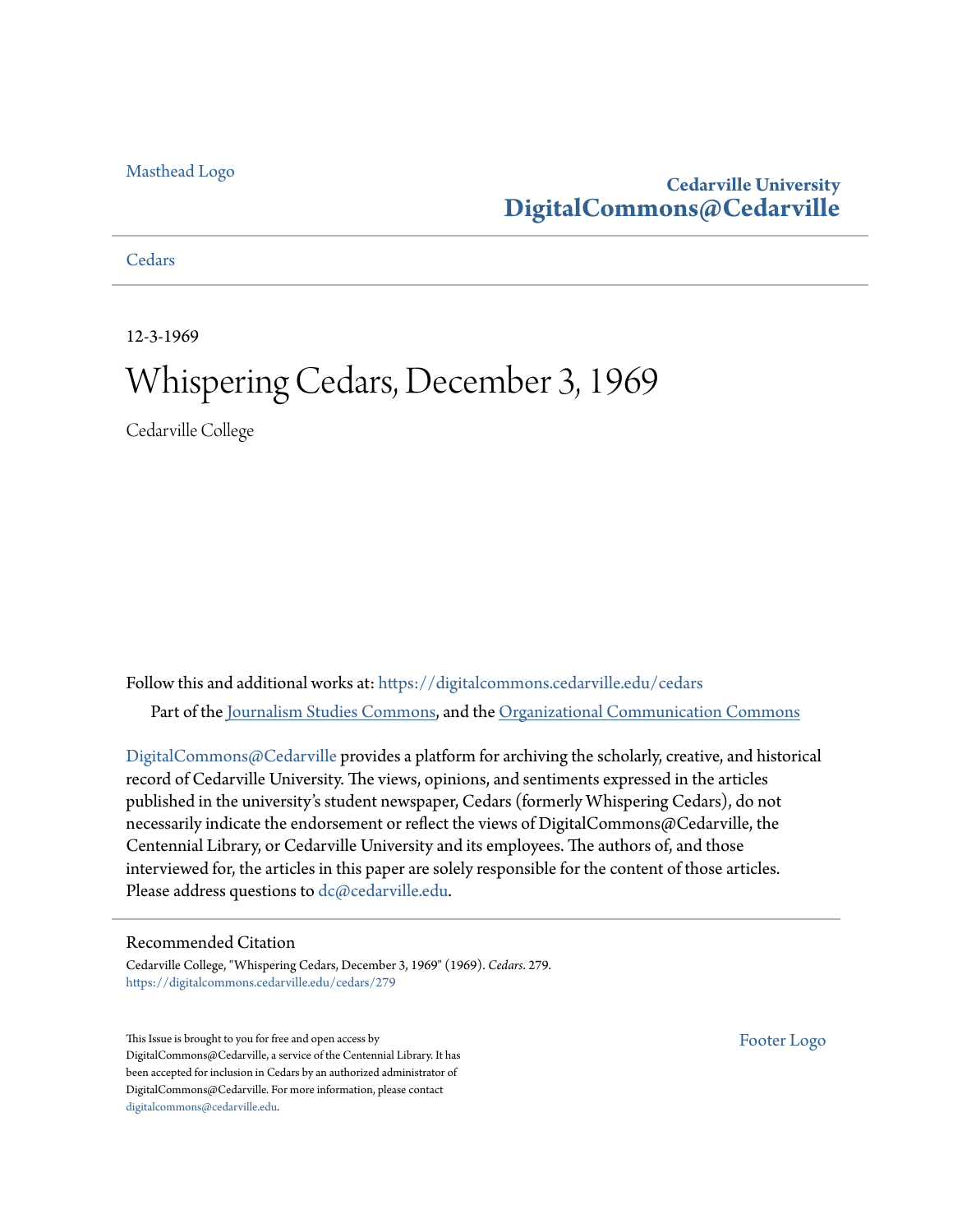#### [Masthead Logo](http://www.cedarville.edu/?utm_source=digitalcommons.cedarville.edu%2Fcedars%2F279&utm_medium=PDF&utm_campaign=PDFCoverPages)

### **Cedarville University [DigitalCommons@Cedarville](https://digitalcommons.cedarville.edu?utm_source=digitalcommons.cedarville.edu%2Fcedars%2F279&utm_medium=PDF&utm_campaign=PDFCoverPages)**

**[Cedars](https://digitalcommons.cedarville.edu/cedars?utm_source=digitalcommons.cedarville.edu%2Fcedars%2F279&utm_medium=PDF&utm_campaign=PDFCoverPages)** 

12-3-1969

### Whispering Cedars, December 3, 1969

Cedarville College

Follow this and additional works at: [https://digitalcommons.cedarville.edu/cedars](https://digitalcommons.cedarville.edu/cedars?utm_source=digitalcommons.cedarville.edu%2Fcedars%2F279&utm_medium=PDF&utm_campaign=PDFCoverPages) Part of the [Journalism Studies Commons](http://network.bepress.com/hgg/discipline/333?utm_source=digitalcommons.cedarville.edu%2Fcedars%2F279&utm_medium=PDF&utm_campaign=PDFCoverPages), and the [Organizational Communication Commons](http://network.bepress.com/hgg/discipline/335?utm_source=digitalcommons.cedarville.edu%2Fcedars%2F279&utm_medium=PDF&utm_campaign=PDFCoverPages)

[DigitalCommons@Cedarville](http://digitalcommons.cedarville.edu/) provides a platform for archiving the scholarly, creative, and historical record of Cedarville University. The views, opinions, and sentiments expressed in the articles published in the university's student newspaper, Cedars (formerly Whispering Cedars), do not necessarily indicate the endorsement or reflect the views of DigitalCommons@Cedarville, the Centennial Library, or Cedarville University and its employees. The authors of, and those interviewed for, the articles in this paper are solely responsible for the content of those articles. Please address questions to [dc@cedarville.edu.](mailto:dc@cedarville.edu)

#### Recommended Citation

Cedarville College, "Whispering Cedars, December 3, 1969" (1969). *Cedars*. 279. [https://digitalcommons.cedarville.edu/cedars/279](https://digitalcommons.cedarville.edu/cedars/279?utm_source=digitalcommons.cedarville.edu%2Fcedars%2F279&utm_medium=PDF&utm_campaign=PDFCoverPages)

This Issue is brought to you for free and open access by DigitalCommons@Cedarville, a service of the Centennial Library. It has been accepted for inclusion in Cedars by an authorized administrator of DigitalCommons@Cedarville. For more information, please contact [digitalcommons@cedarville.edu](mailto:digitalcommons@cedarville.edu).

[Footer Logo](http://www.cedarville.edu/Academics/Library.aspx?utm_source=digitalcommons.cedarville.edu%2Fcedars%2F279&utm_medium=PDF&utm_campaign=PDFCoverPages)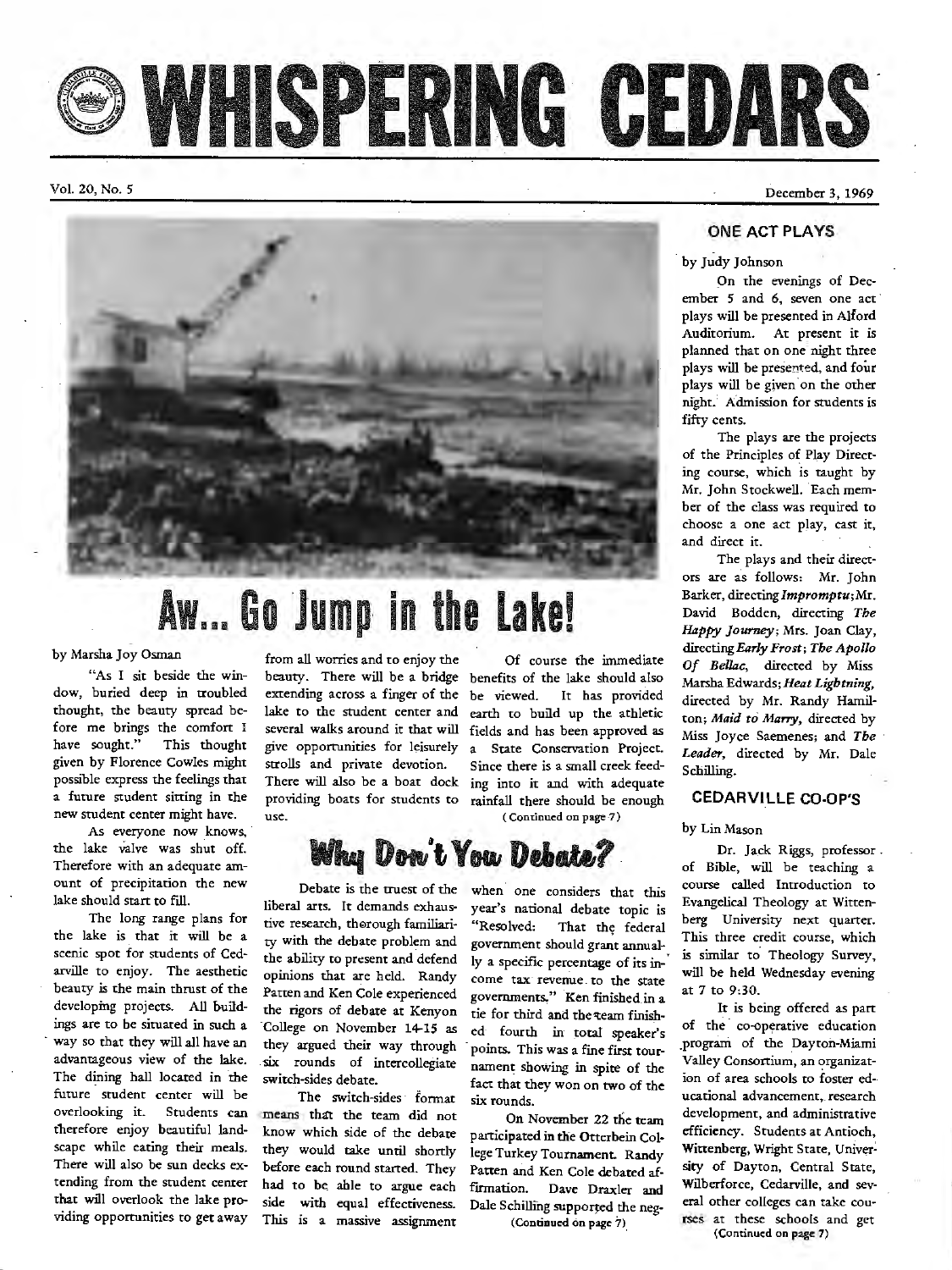WHISPERING CEDARS

Vol. 20, No. 5

December 3, 1969



# **Aw ... Go Jump in the Lake!**

by Marsha Joy Osman

"As I sit beside the window, buried deep in troubled thought, the beauty spread before me brings the comfort I have sought." This thought given by Florence Cowles might possible express the feelings that a future student sitting in the new student center might have.

As everyone now knows, the lake valve was shut off. Therefore with an adequate amount of precipitation the new lake should start to fill.

The long range plans for the lake is that it will be a scenic spot for students of Cedarville to enjoy. The aesthetic beauty is the main thrust of the developing projects. All buildings are to be situated in such a way so that they will all have an advantageous view of the lake. The dining hall located in the future student center will be overlooking it. Students can means that the team did not tberefore enjoy beautiful landscape while eating their meals. There will also be sun decks extending from the student center that will overlook the lake providing opportunities to get away

from all worries and to enjoy the Of course the immediate use.

beauty. There will be a bridge benefits of the lake should also extending across a finger of the be viewed. It has provided lake to the student center and earth to build up the athletic several walks around it that will fields and has been approved as give opportunities for leisurely a State Conservation Project. strolls and private devotion. Since there is a small creek feed-<br>There will also be a boat dock ing into it and with adequate ing into it and with adequate providing boats for students to rainfall there should be enough (Continued on page 7)

## **May Don't You Debate?**

Debate is the truest of the liberal arts. It demands exhaustive research, thorough familiarity with the debate problem and the ability to present and defend opinions that are held. Randy Patten and Ken Cole experienced the rigors of debate at Kenyon College on November 14-15 as they argued their way through . six rounds of intercollegiate switch-sides debate.

The switch-sides · format know which side of the debate they would take until shortly before each round started. They had to be able to argue each side with equal effectiveness. This is a massive assignment

when one considers that this year's national debate topic is "Resolved: That the; federal government should grant annually a specific percentage of its in-' come tax revenue to the state governments." Ken finished in a tie for third and the team finished fourth in· total speaker's points. This was a fine first tour. nament showing in spite of the fact that they won on two of the six rounds.

On November 22 the team participated in the Otterbein Col· lege Turkey Tournament. Randy Patten and Ken Cole debated affirmation. Dave Draxler and Dale Schilling supported the neg-

( Continued on page 7).

**ONE ACT PLAYS** 

by Judy Johnson

On the evenings of December *5* and 6, seven one act plays will be presented in Alford Auditorium. At present it is planned that on one night three plays will be presented, and four plays will be given on the other night.' Admission for students is fifty cents.

The plays axe the projects of the Principles of Play Directing course, which is taught by Mr. John Stockwell. Each member of the class was required to choose a one act play, cast it, and direct it.

The plays and their directors are as follows: Mr. John Barker, directing *Impromptu;* Mr. David Bodden, directing *The*  Happy *Journey*; Mrs. Joan Clay, directing *Early Frost; Tbe Apollo Of Bellac,* directed by Miss Marsha Edwards; *Heat Lightning,*  directed by Mr. Randy Hamil- . ton; *Maid to Marry,* directed by Miss Joyce Saemenes; and *The* · *Leader,* directed by Mr. Dale Schilling.

#### **CEDARVILLE CO-OP'S**

by Lin Mason

Dr. Jack Riggs, professor . of Bible, will be teaching a course called Introduction to Evangelical Theology at Wittenberg University next quarter. This three credit course, which is similar to. Theology Survey, will be held Wednesday evening at 7 to 9:30.

It is being offered as part of the co-operative education program of the Dayton-Miami Valley Consortium, an organization of area schools to foster educational advancement, research development, and administrative efficiency. Students at Antioch, Wittenberg, Wright State, Univer~ sity of Dayton, Central State, Wilberforce, Cedarville, and several other colleges can take courses at these schools and get (Continued on page 7)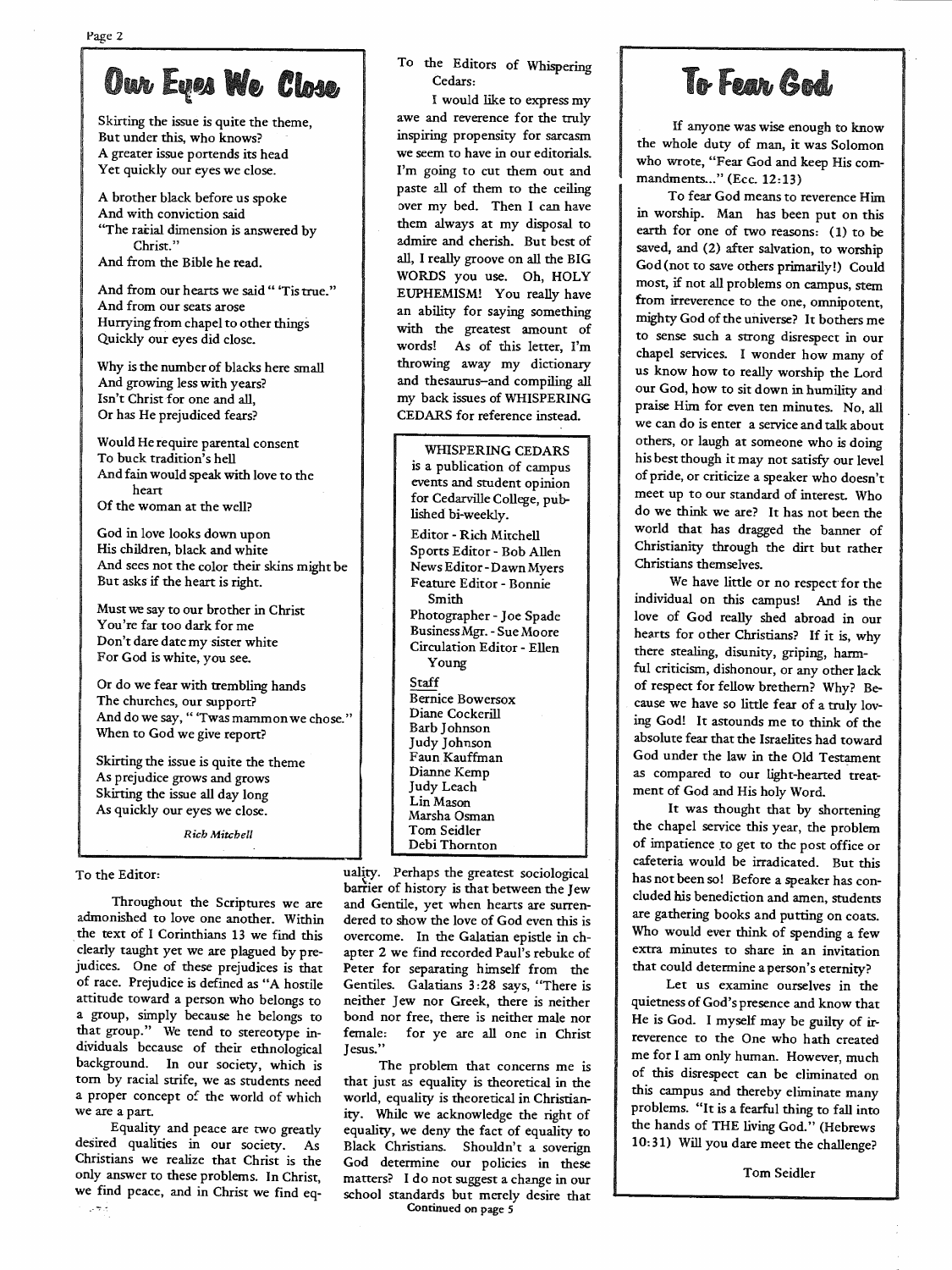## Our Eyes We Close

Skirting the issue is quite the theme, But under this, who knows? A greater issue portends its head Yet quickly our eyes we close.

<sup>A</sup>brother black before us spoke And with conviction said "The racial dimension is answered by Christ." And from the Bible he read.

And from our hearts we said " 'Tis true." And from our seats arose Hurrying from chapel to other things Quickly our eyes did close.

Why is the number of blacks here small And growing less with years? Isn't Christ for one and all, Or has He prejudiced fears?

Would He require parental consent To buck tradition's hell And fain would speak with love to the heart Of the woman at the well?

God in love looks down upon His children, black and white And sees not the color their skins might be But asks if the heart is right.

Must we say to our brother in Christ You're far too dark for me Don't dare date my sister white For God is white, you see.

Or do we fear with trembling hands The churches, our support? And do we say, " 'Twas mammon we chose." When to God we give report?

Skirting the issue is quite the theme As prejudice grows and grows Skirting the issue all day long As quickly our eyes we close.

*Rieb Mitchell* 

#### To the Editor:

Throughout the Scriptures we are admonished to love one another. Within the text of I Corinthians 13 we find this clearly taught yet we are plagued by prejudices. One of these prejudices is that of race. Prejudice is defined as "A hostile attitude toward a person who belongs to a group, simply because he belongs to that group." We tend to stereotype individuals because of their ethnological background. In our society, which is torn by racial strife, we as students need a proper concept of the world of which we are a part.

Equality and peace are two greatly desired qualities in our society. As Christians we realize that Christ is the only answer to these problems. In Christ, we find peace, and in Christ we find eq-يجب

### To the Editors of Whispering Cedars:

<sup>I</sup>would like to express my awe and reverence for the truly inspiring propensity for sarcasm we seem to have in our editorials. I'm going to cut them out and paste all of them to the ceiling over my bed. Then I can have them always at my disposal to admire and cherish. But best of all, I really groove on all the BIG WORDS you use. Oh, HOLY EUPHEMISM! You really have an ability for saying something with the greatest amount of words! As of this letter, I'm throwing away my dictionary and thesaurus-and compiling all my back issues of WHISPERING CEDARS for reference instead.

| WHISPERING CEDARS<br>is a publication of campus<br>events and student opinion<br>for Cedarville College, pub-<br>lished bi-weekly.                                                                                |
|-------------------------------------------------------------------------------------------------------------------------------------------------------------------------------------------------------------------|
| Editor - Rich Mitchell<br>Sports Editor - Bob Allen<br>News Editor-Dawn Myers<br>Feature Editor - Bonnie<br>Smith<br>Photographer - Joe Spade<br>Business Mgr. - Sue Moore<br>Circulation Editor - Ellen<br>Young |
| Staff<br>Bernice Bowersox<br>Diane Cockerill<br>Barb Johnson<br>Judy Johnson<br>Faun Kauffman<br>Dianne Kemp<br>Judy Leach<br>Lin Mason<br>Marsha Osman<br>Tom Seidler<br>Debi Thornton                           |

uality. Perhaps the greatest sociological barrier of history is that between the Jew and Gentile, yet when hearts are surren dered to show the love of God even this is overcome. In the Galatian epistle in ch apter 2 we find recorded Paul's rebuke of Peter for separating himself from the Gentiles. Galatians 3 :28 says, "There is neither Jew nor Greek, there is neither bond nor free, there is neither male nor female: for ye are all one in Christ Jesus."

The problem that concerns me is that just as equality is theoretical in the world, equality is theoretical in Christian ity. While we acknowledge the right of equality, we deny the fact of equality to Black Christians. Shouldn't a soverign God determine our policies in these matters? I do not suggest a change in our school standards but merely desire that Continued on page *<sup>5</sup>*

## To Fear God

If anyone was wise enough to know the whole duty of man, it was Solomon who wrote, "Fear God and keep His commandments..." (Ecc. 12:13)

To fear God means to reverence Him in worship. Man has been put on this earth for one of two reasons: (1) to be saved, and (2) after salvation, to worship God(not to save others primarily!) Could most, if not all problems on campus, stem from irreverence to the one, omnipotent, mighty God of the universe? It bothers me to sense such a strong disrespect in our chapel services. I wonder how many of us know how to really worship the Lord our God, how to sit down in humility and praise Him for even ten minutes. No, all we can do is enter a service and talk about others, or laugh at someone who is doing his best though it may not satisfy our level of pride, or criticize a speaker who doesn't meet up to our standard of interest. Who do we think we are? It has not been the world that has dragged the banner of Christianity through the dirt but rather Christians themselves.

We have little or no respect for the individual on this campus! And is the love of God really shed abroad in our hearts for other Christians? If it is, why there stealing, disunity, griping, harmful criticism, dishonour, or any other lack of respect for fellow brethem? Why? Because we have so little fear of a truly loving God! It astounds me to think of the absolute fear that the Israelites had toward God under the law in the Old Testament as compared to our light-hearted treatment of God and His holy Word.

It was thought that by shortening the chapel service this year, the problem of impatience to get to the post office or cafeteria would be irradicated. But this has not been so! Before a speaker has concluded his benediction and amen, students are gathering books and putting on coats. Who would ever think of spending a few extra minutes to share in an invitation that could determine a person's eternity?

Let us examine ourselves in the quietness of God's presence and know that He is God. I myself may be guilty of irreverence to the One who hath created me for I am only human. However, much of this disrespect can be eliminated on this campus and thereby eliminate many problems. "It is a fearful thing to fall into the hands of THE living God." (Hebrews 10: 31) Will you dare meet the challenge?

Tom Seidler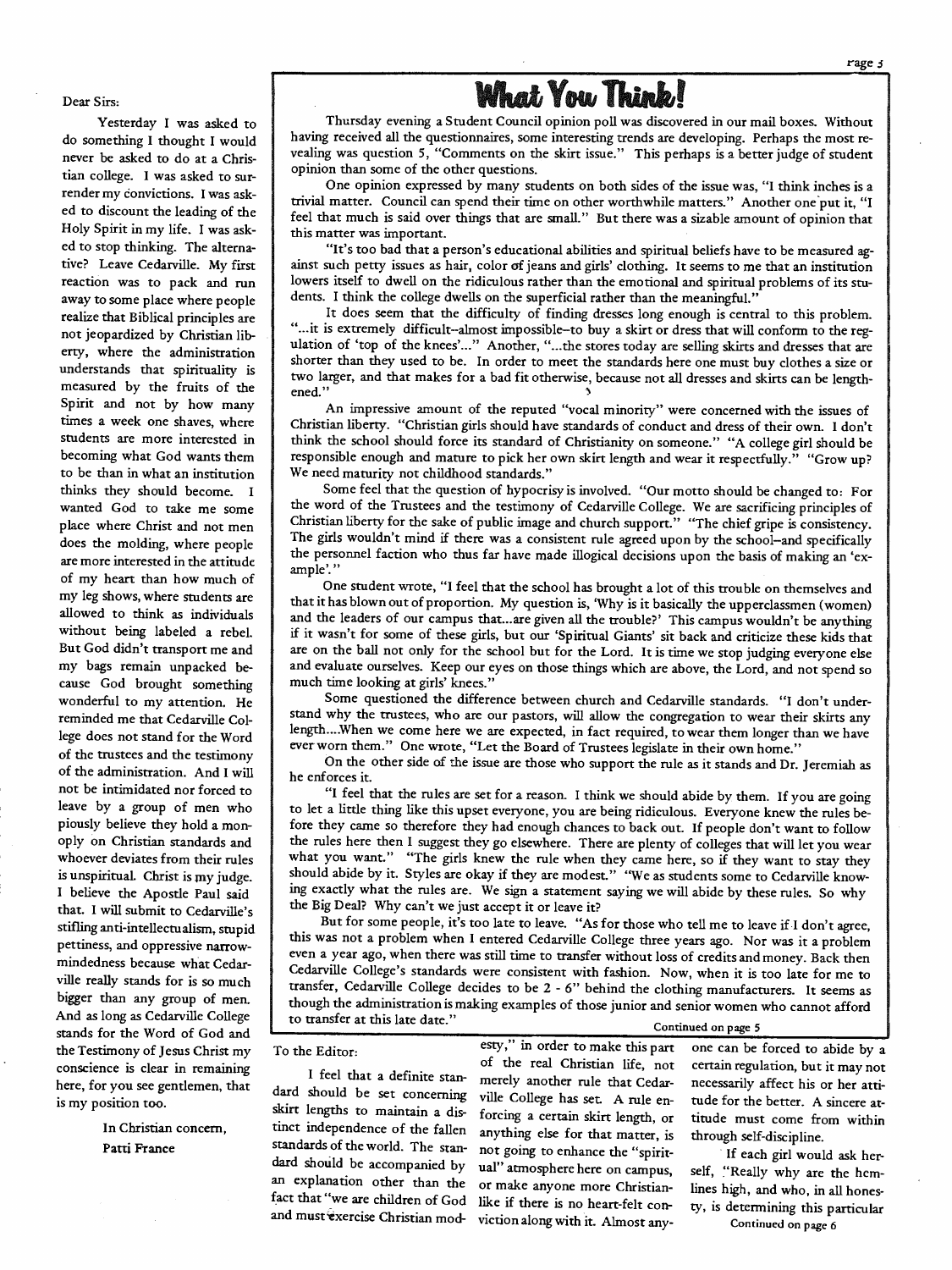

#### Dear Sirs:

Yesterday I was asked to do something I thought I would never be asked to do at a Christian college. I was asked to surrender my convictions. I was asked to discount the leading of the Holy Spirit in my life. I was asked to stop thinking. The alternative? Leave Cedarville. My first reaction was to pack and run away to some place where people realize that Biblical principles are not jeopardized by Christian liberty, where the administration understands that spirituality is measured by the fruits of the Spirit and not by how many times a week one shaves, where students are more interested in becoming what God wants them to be than in what an institution thinks they should become. <sup>I</sup> wanted God to take me some place where Christ and not men does the molding, where people are more interested in the attitude of my heart than how much of my leg shows, where students are allowed to think as individuals without being labeled a rebel But God didn't transport me and my bags remain unpacked because God brought something wonderful to my attention. He reminded me that Cedarville College does not stand for the Word of the trustees and the testimony of the administration. And I will not be intimidated nor forced to leave by a group of men who piously believe they hold a monoply on Christian standards and whoever deviates from their rules is unspiritual. Christ is my judge. I believe the Apostle Paul said that. I will submit to Cedarville's stifling anti-intellectualism, stupid pettiness, and oppressive narrowmindedness because what Cedarville really stands for is so much bigger than any group of men. And as long as Cedarville College stands for the Word of God and the Testimony of Jesus Christ my conscience is clear in remaining here, for you see gentlemen, that is my position too.

> In Christian concern, Patti France

Thursday evening a Student Council opinion poll was discovered in our mail boxes. Without vealing was question 5, "Comments on the skirt issue." This perhaps is a better judge of student opinion than some of the other questions.

One opinion expressed by many students on both sides of the issue was, "I think inches is a trivial matter. Council can spend their time on other worthwhile matters." Another one put it, "I feel that much is said over things that are small." But there was a sizable amount of opinion that this matter was important.

"It's too bad that a person's educational abilities and spiritual beliefs have to be measured ag- ainst such petty issues as hair, color of jeans and girls' clothing. It seems to me that an institution lowers itself to dwell on the ridiculous rather than the emotional and spiritual problems of its stu dents. I think the college dwells on the superficial rather than the meaningful."<br>It does seem that the difficulty of finding dresses long enough is central to this problem.

"...it is extremely difficult--almost impossible-to buy a skirt or dress that will conform to the regulation of 'top of the knees'..." Another, "...the stores today are selling skirts and dresses that are shorter than they two larger, and that makes for a bad fit otherwise, because not all dresses and skirts can be length- ened."

An impressive amount of the reputed "vocal minority" were concerned with the issues of Christian liberty. "Christian girls should have standards of conduct and dress of their own. I don't think the school should force its standard of Christianity on someone." "A college girl should be responsible enough and mature to pick her own skirt length and wear it respectfully." "Grow up? We need maturity not childho

Some feel that the question of hypocrisy is involved. "Our motto should be changed to: For<br>the word of the Trustees and the testimony of Cedarville College. We are sacrificing principles of<br>Christian liberty for the sake o ample'."

One student wrote, "I feel that the school has brought a lot of this trouble on themselves and that it has blown out of proportion. My question is, 'Why is it basically the upperclassmen (women) and the leaders of our campus that...are given all the trouble?' This campus wouldn't be anything if it wasn't for some of are on the ball not only for the school but for the Lord. It is time we stop judging everyone else<br>and evaluate ourselves. Keep our eyes on those things which are above, the Lord, and not spend so<br>much time looking at girl

Some questioned the difference between church and Cedarville standards. "I don't under-<br>stand why the trustees, who are our pastors, will allow the congregation to wear their skirts any length ... When we come here we are expected, in fact required, to wear them longer than we have ever worn them." One wrote, "Let the Board of Trustees legislate in their own home.''

On the other side of the issue are those who support the rule as it stands and Dr. Jeremiah as he enforces it.

"I feel that the rules are set for a reason. I think we should abide by them. If you are going to let a little thing like this upset everyone, you are being ridiculous. Everyone knew the rules bethe rules here then I suggest they go elsewhere. There are plenty of colleges that will let you wear<br>what you want." "The girls knew the rule when they came here, so if they want to stay they<br>should abide by it. Styles are ing exactly what the rules are. We sign a statement saying we will abide by these rules. So why the Big Deal? Why can't we just accept it or leave it?

this was not a problem when I entered Cedarville College three years ago. Nor was it a problem even a year ago, when there was still time to transfer without loss of credits and money. Back then Cedarville College's standards were consistent with fashion. Now, when it is too late for me to transfer, Cedarville College decides to be 2 - 6" behind the clothing manufacturers. It seems as though the administration is making examples of those junior and senior women who cannot afford to transfer at this late date." Continued on page 5

merely another rule that Cedar-

like if there is no heart-felt con-

standards of the world. The stan-

and must exercise Christian mod-

To the Editor:<br>
esty," in order to make this part one can be forced to abide by a<br>
of the real Christian life, not certain regulation, but it may not of the real Christian life, not certain regulation, but it may not<br>I feel that a definite stan-<br>dard should be set concerning wille College has set A rule and tried for the batter. A since it dard should be set concerning ville College has set. A rule en- tude for the better. A sincere at-<br>skirt lengths to maintain a dis- foreing a certain skirt length or titude must come from within skirt lengths to maintain a dis-<br>tinct independence of the fallen anything else for that matter is through self-discipline anything else for that matter, is through self-discipline.

standards of the world. The stan- not going to enhance the "spirit-<br>dard should be accompanied by uall' atmosphere here on campus self. "Really why are the hemdard should be accompanied by ual" atmosphere here on campus, self, "Really why are the hem-<br>an explanation other than the or make anyone more Christian. lines high and use in all have an explanation other than the or make anyone more Christian-<br>fact that "we are children of God-like if there is no beart-felt con ty, is determining this particular victionalongwith it. Almost any- Continued on page *<sup>6</sup>*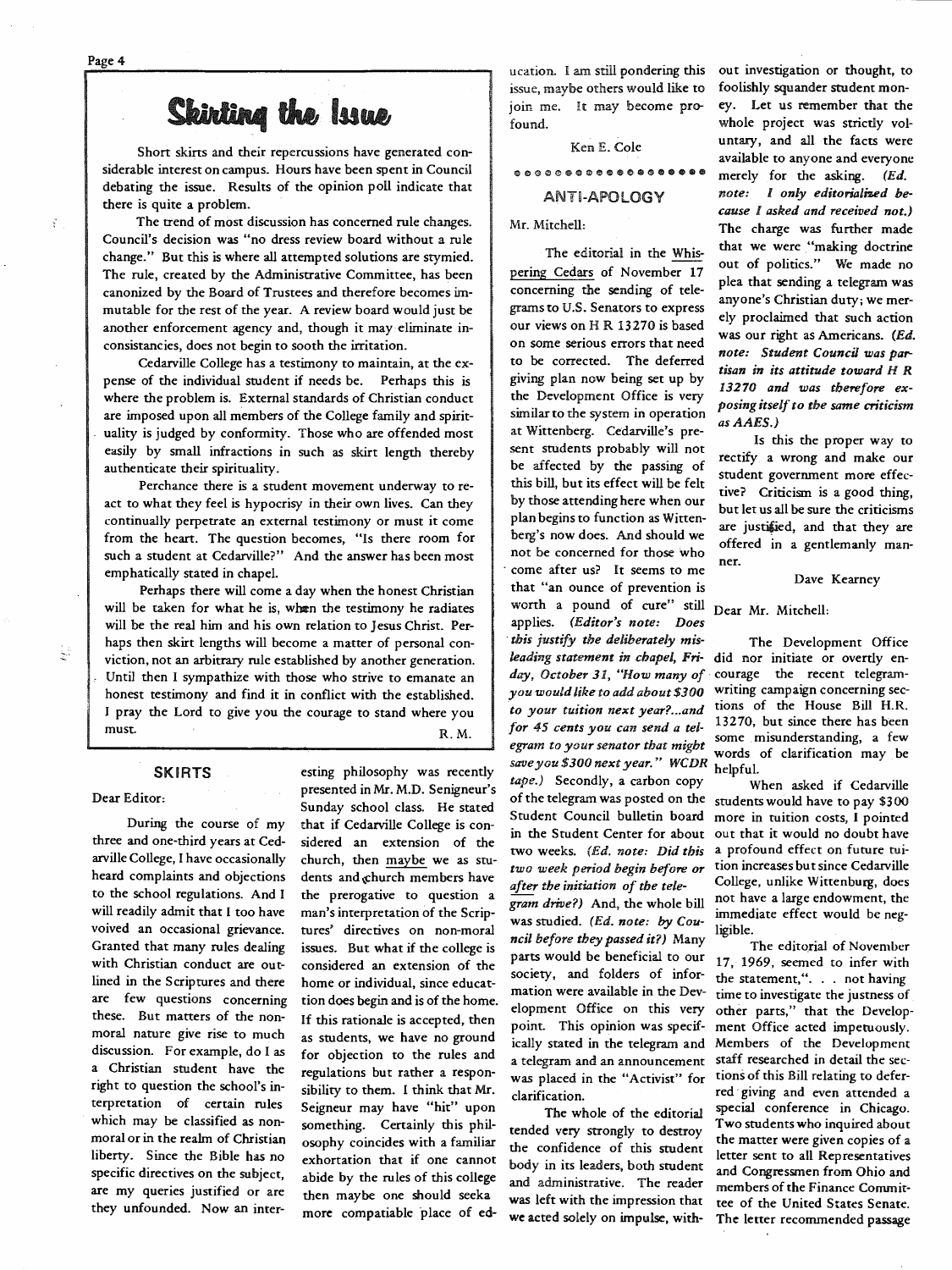Page 4

 $\widetilde{\chi}$ 

### Skirting the Issue

Short skirts and their repercussions have generated considerable interest on campus. Hours have been spent in Council debating the issue. Results of the opinion poll indicate that there is quite a problem.

The trend of most discussion has concerned rule changes. Council's decision was "no dress review board without a rule change." But this is where all attempted solutions are stymied. The rule, created by the Administrative Committee, has been canonized by the Board of Trustees and therefore becomes immutable for the rest of the year. A review board would just be another enforcement agency and, though it may eliminate inconsistancies, does not begin to sooth the irritation.

Cedarville College has a testimony to maintain, at the expense of the individual student if needs be. Perhaps this is where the problem is. External standards of Christian conduct are imposed upon all members of the College family and spirituality is judged by conformity. Those who are offended most easily by small infractions in such as skirt length thereby authenticate their spirituality.

Perchance there is a student movement underway to react to what they feel is hypocrisy in their own lives. Can they continually perpetrate an external testimony or must it come from the heart. The question becomes, "Is there room for such a student at Cedarville?" And the answer has been most emphatically stated in chapel.

Perhaps there will come a day when the honest Christian will be taken for what he is, when the testimony he radiates will be the real him and his own relation to Jesus Christ. Perhaps then skirt lengths will become a matter of personal conviction, not an arbitrary rule established by another generation. Until then I sympathize with those who strive to emanate an honest testimony and find it in conflict with the established. <sup>I</sup>pray the Lord to give you the courage to stand where you must. R.M.

#### **SKIRTS**

#### Dear Editor:

Ų

During the course of my three and one-third years at Cedarville College, I have occasionally heard complaints and objections to the school regulations. And I will readily admit that I too have voived an occasional grievance. Granted that many rules dealing with Christian conduct are outlined in the Scriptures and there are few questions concerning these. But matters of the nonmoral nature give rise to much discussion. For example, do I as a Christian student have the right to question the school's interpretation of certain rules which may be classified as nonmoral or in the realm of Christian liberty. Since the Bible has no specific directives on the subject, are my queries justified or are they unfounded. Now an interesting philosophy was recently presented in Mr. M.D. Senigneur's Sunday school class. He stated that if Cedarville College is con sidered an extension of the church, then maybe we as stu dents and church members have the prerogative to question a man's interpretation of the Scrip tures' directives on non-moral issues. But what if the college is considered an extension of the home or individual, since educat tion does begin and is of the home. If this rationale is accepted, then as students, we have no ground for objection to the rules and regulations but rather a respon sibility to them. I think that Mr. Seigneur may have "hit" upon something. Certainly this phil osophy coincides with a familiar exhortation that if one cannot abide by the rules of this college then maybe one should seeka more compatiable place of education. l am still pondering this issue, maybe others would like to join me. It may become pro found.

Ken E. Cole

ANTI-APOLOGY

Mr. Mitchell:

The editorial in the Whis pering Cedars of November 17 concerning the sending of tele grams to U.S. Senators to express our views on HR 13270 is based on some. serious errors that need to be corrected. The deferred giving plan now being set up by the Development Office is very similar to the system in operation at Wittenberg. Cedarville's pre sent students probably will not be affected by the passing of this bill, but its effect will be felt by those attending here when our plan begins to function as Witten berg's now does. And should we not be concerned for those who come after us? It seems to me wonh a pound of cure" still Dear Mr. Mitchell: applies. *(Editor's note: Does* · *this justify the deliberately mis-* The Development Office *leading statement in chapel, Fri-* did nor initiate or overtly en *day, October 31, "How many of·* courage the recent telegram *you would like to add about \$300* writing campaign concerning sec to your tuition next year?...and tions of the House Bill H.R.<br>for 45 cents you can send a tel-<br>egram to your senator that might *save you \$300 next year." WCDR* helpful. *tape.)* Secondly, a carbon copy When asked if Cedarville Student Council bulletin board more in tuition costs, I pointed *two week period begin before or after the initiation of the tele gram drive?)* And, the whole bill was studied. *(Ed. note: by Cou ncil before they passed it?)* Many parts would be beneficial to our society, and folders of infor mation were available in the Dev elopment Office on this very point. This opinion was specif ically stated in the telegram and a telegram and an announcement was placed in the "Activist" for clarification. iearly period begin before or tion increases but since Cedarville<br>the initiation of the tele-<br>College, unlike Wittenburg, does<br>drive?) And, the whole bill not have a large endowment, the<br>udied. (Ed. note: by Cou-<br>ligible.<br>

Two students who inquired about<br>tended very strongly to destroy the matter were given copies of a<br>the confidence of this student the confidence of this student letter sent to all Representatives<br>body in its leaders, both student and Commences from Ohio and body in its leaders, both student and Congressmen from Ohio and administrative. The reader members of the Finance Commitwas left with the impression that tee of the United States Senate. we acted solely on impulse, with- The letter recommended passage

Leation. I am still pondering this out investigation or thought, to<br>sissue, maybe others would like to foolishly squander student mon-<br>to in me. It may become pro-ey. Let us remember that the<br>found.<br>
Ken E. Cole untary, a

*egra.m to your senator that might* words of clarification may . be

of the telegram was posted on the students would have to pay \$300 in the Student Center for about out that it would no doubt have two weeks. (Ed. note: Did this a profound effect on future tui-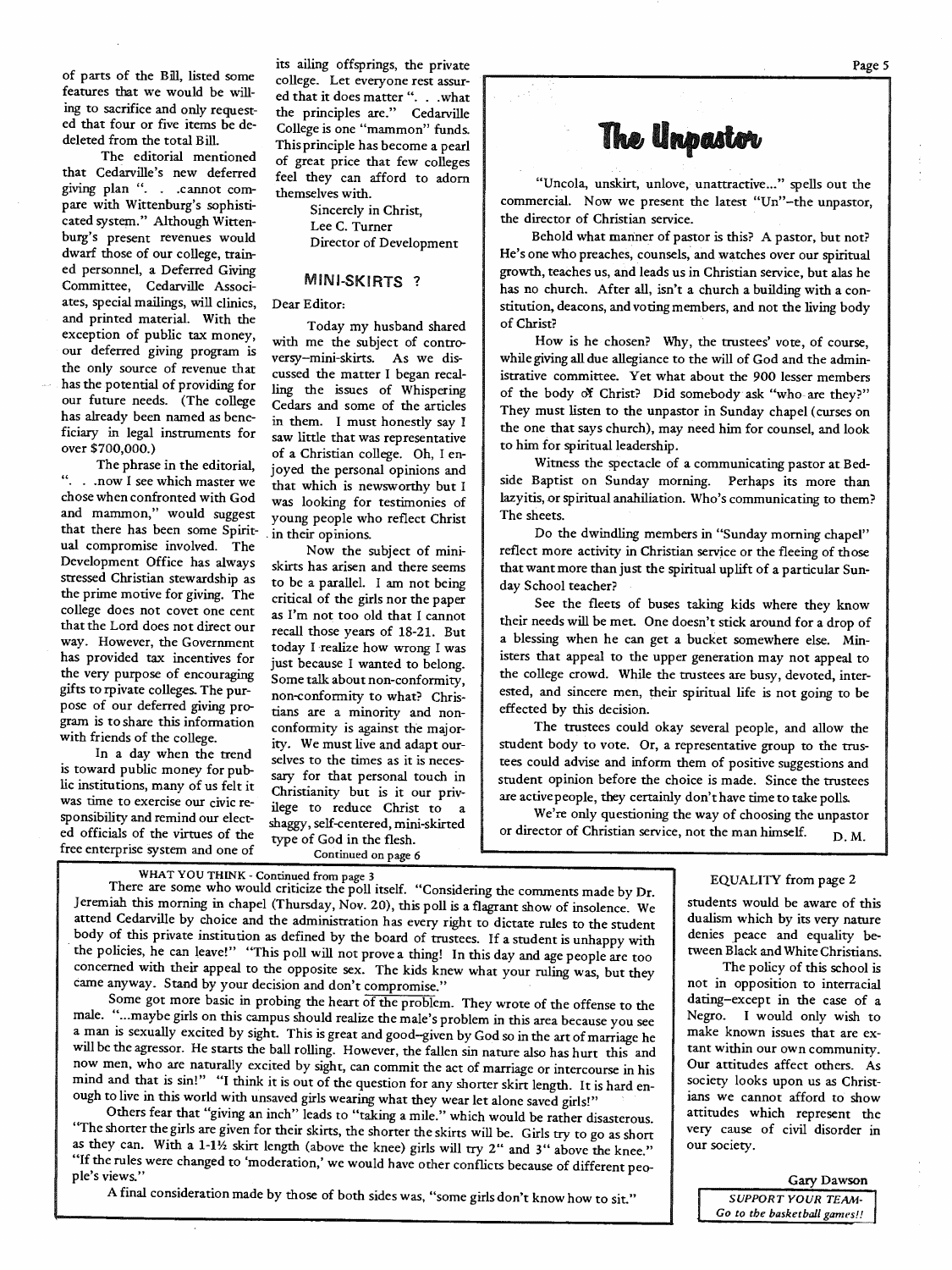of parts of the Bill, listed some features that we would be willing to sacrifice and only requested that four or five items be dedeleted from the total Bill.

The editorial mentioned that Cedarville's new deferred giving plan ". . .cannot compare with Wittenburg's sophisticated system." Although Wittenburg's present revenues would dwarf those of our college, trained personnel, a Deferred Giving Committee, Cedarville Associates, special mailings, will clinics, and printed material. With the exception of public tax money, our deferred giving program is the only source of revenue that has the potential of providing for our future needs. (The college has already been named as beneficiary in legal instruments for over \$700,000.)

The phrase in the editorial, ". . .now I see which master we chose when confronted with God and mammon," would suggest that there has been some Spiritual compromise involved. The Development Office has always stressed Christian stewardship as the prime motive for giving. The college does not covet one cent that the Lord does not direct our way. However, the Government has provided tax incentives for the very purpose of encouraging <sup>g</sup>ifts to rpivate colleges. The purpose of our deferred giving program is to share this information with friends of the college.

In a day when the trend is toward public money for public institutions, many of us felt it was time to exercise our civic responsibility and remind our elected officials of the virtues of the free enterprise system and one of

its ailing offsprings, the private college. Let everyone rest assured that it does matter ''. . . what the principles are." Cedarville College is one "mammon" funds. This principle has become a pearl of great price that few colleges feel they can afford to adorn themselves with.

> Sincerely in Christ, Lee C. Turner Director of Development

#### MINI-SKIRTS ?

Dear Editor:

Today my husband shared with me the subject of controversy-mini-skirts. As we discussed the matter I began recalling the issues of Whispering Cedars and some of the articles in them. I must honestly say I saw little that was representative of a Christian college. Oh, I enjoyed the personal opinions and that which is newsworthy but <sup>I</sup> was looking for testimonies of young people who reflect Christ . in their opinions.

Now the subject of miniskirts has arisen and there seems to be a parallel. I am not being critical of the girls nor the paper as I'm not too old that I cannot recall those years of 18-21. But today I ·realize how wrong I was just because I wanted to belong. Some talk about non-conformity, non-conformity to what? Christians are a minority and nonconformity is against the majority. We must live and adapt ourselves to the times as it is necessary for that personal touch in Christianity but is it our privilege to reduce Christ to <sup>a</sup> shaggy, self-centered, mini-skirted type of God in the flesh. Continued on page 6

### The Unpastor

"Uncola, unskirt, unlove, unattractive..." spells out the commercial. Now we present the latest "Un"-the unpastor, the director of Christian service.

Behold what manner of pastor is this? A pastor, but not? He's one who preaches, counsels; and watches over our spiritual growth, teaches us, and leads us in Christian service, but alas he has no church. After all, isn't a church a building with a constitution, deacons, and voting members, and not the living body of Christ?

How is he chosen? Why, the trustees' vote, of course, while giving all due allegiance to the will of God and the administrative committee. Yet what about the 900 lesser members of the body of Christ? Did somebody ask "who-are they?" They must listen to the unpastor in Sunday chapel (curses on the one that says church), may need him for counsel, and look to him for spiritual leadership.

Witness the spectacle of a communicating pastor at Bedside Baptist on Sunday morning. Perhaps its more than lazyitis, or spiritual anahiliation. Who's communicating to them? The sheets.

Do the dwindling members in "Sunday morning chapel" reflect more activity in Christian service or the fleeing of those that want more than just the spiritual uplift of a particular Sunday School teacher?

See the fleets of buses taking kids where they know their needs will be met. One doesn't stick around for a drop of a blessing when he can get a bucket somewhere else. Ministers that appeal to the upper generation may not appeal to the college crowd. While the trustees are busy, devoted, interested, and sincere men, their spiritual life is not going to be effected by this decision.

The trustees could okay several people, and allow the student body to vote. Or, a representative group to the trustees could advise and inform them of positive suggestions and student opinion before the choice is made. Since the trustees are active people, they certainly don't have time to take polls.

We're only questioning the way of choosing the unpastor or director of Christian service, not the man himself. D.M.

### WHAT YOU THINK - Continued from page 3

There are some who would criticize the poll itself. "Considering the comments made by Dr.<br>Jeremiah this morning in chapel (Thursday, Nov. 20), this poll is a flagrant show of insolence. We<br>students would be aware of this attend Cedarville by choice and the administration has every right to dictate rules to the student<br>body of this private institution as defined by the board of trustees. If a student is unhappy with<br>the policies, he can lea

male. " ... maybe girls on this campus should realize the male's problem in this area because you see <sup>a</sup>man is sexually excited by sight. This is great and good-given by God so in the art of marriage he will be the agressor. He starts the ball rolling. However, the fallen sin nature also has hurt this and will be the agressor. He starts the ball rolling. However, the fallen sin nature also has hurt this and mind and that is sin!" "I think it is out of the question for any shorter skirt length. It is hard enough to live in this world with unsaved girls wearing what they wear let alone saved girls!"

Others fear that "giving an inch" leads to "taking a mile." which would be rather disasterous.<br>"The shorter the girls are given for their skirts, the shorter the skirts will be. Girls try to go as short as they can. With a "If the rules were changed to 'moderation,' we would have other conflicts because of different peo-<br>ple's views."

A final consideration made by those of both sides was, "some girls don't know how to sit."

dualism which by its very nature denies peace and equality between Black and White Christians.

The policy of this school is not in opposition to interracial dating-except in the case of <sup>a</sup> Negro. I would only wish to make known issues that are extant within our own community. Our attitudes affect others. As society looks upon us as Christians we cannot afford to show attitudes which represent the very cause of civil disorder in our society.

Gary Dawson

*SUPPORT YOUR TEAM· Go to the basketball games!!*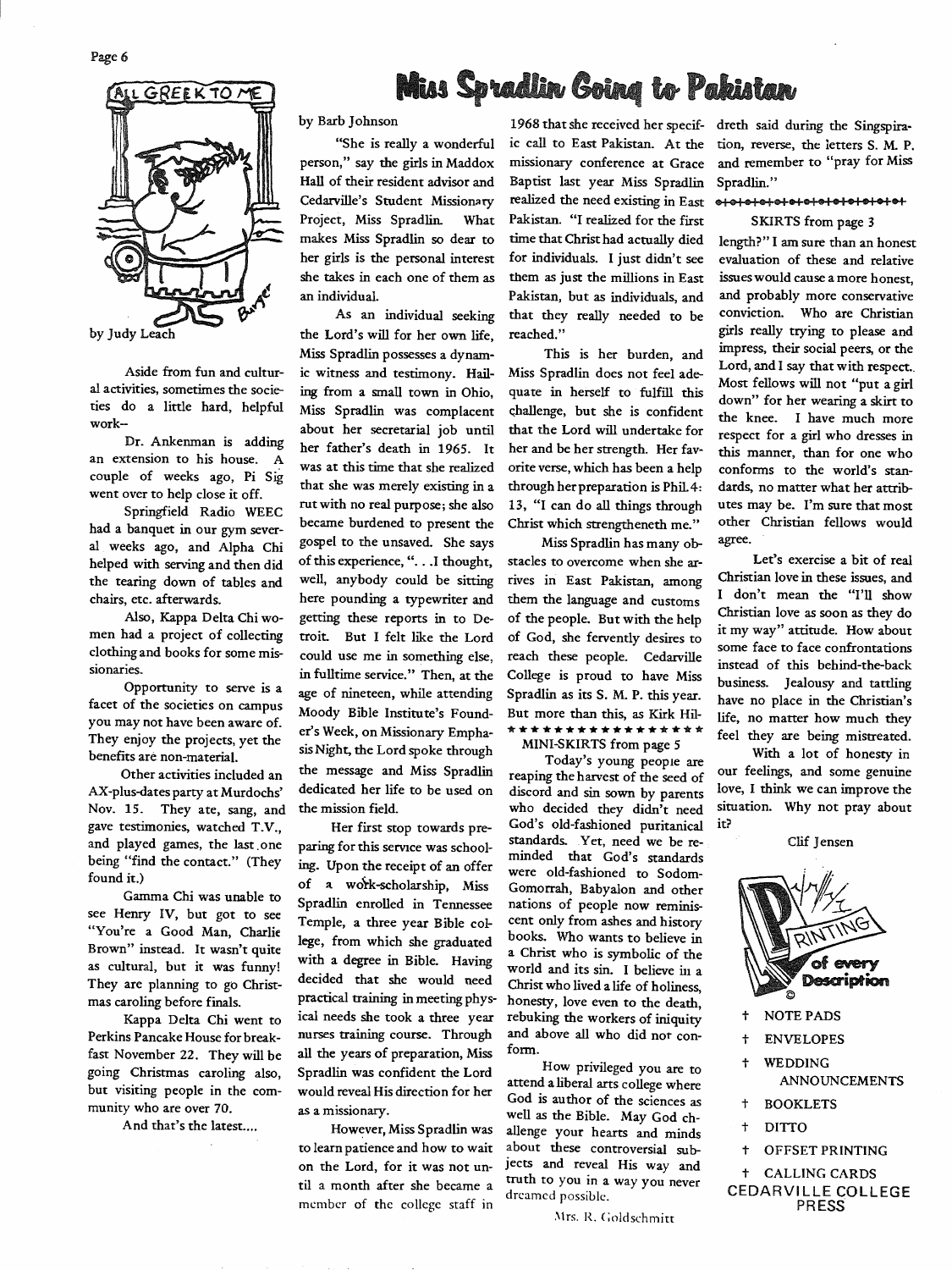

Aside from fun and cultural activities, sometimes the societies do a little hard, helpful work-

Dr. Ankenman is adding an extension to his house. A couple of weeks ago, Pi Sig went over to help close it off.

Springfield Radio WEEC had a banquet in our gym several weeks ago, and Alpha Chi helped with serving and then did the tearing down of tables and chairs, etc. afterwards.

Also, Kappa Delta Chi women had a project of collecting clothing and books for some missionaries.

Opportunity to serve is a facet of the societies on campus you may not have been aware of. They enjoy the projects, yet the benefits are non-material.

Other activities included an AX-plus-dates party at Murdochs' Nov. 15. They ate, sang, and gave testimonies, watched T.V., and played games, the last. one being "find the contact.'' (They found it.)

Gamma Chi was unable to see Henry IV, but got to see "You're a Good Man, Charlie Brown" instead. It wasn't quite as cultural, but it was funny! They are planning to go Christmas caroling before finals.

Kappa Delta Chi went to Perkins Pancake House for breakfast November 22. They will be going Christmas caroling also, but visiting people in the community who are over 70.

And that's the latest....

### **Miss Spradlin Going to Pakistan**

by Barb Johnson

"She is really a wonderful person," say the girls in Maddox Hall of their resident advisor and Cedarville's Student Missionary Project, Miss Spradlin. What makes Miss Spradlin so dear to her girls is the personal interest she takes in each one of them as an individual.

As an individual seeking the Lord's will for her own life, Miss Spradlin possesses a dynamic witness and testimony. Hailing from a small town in Ohio, Miss Spradlin was complacent about her secretarial job until her father's death in 1965. It was at this time that she realized that she was merely existing in a rutwith no real purpose; she also became burdened to present the gospel to the unsaved. She says of this experience, ". . . I thought, well, anybody could be sitting here pounding a typewriter and getting these reports in to Detroit. But I felt like the Lord could use me in something else, in fulltime service." Then, at the age of nineteen, while attending Moody Bible Institute's Founder's Week, on Missionary Emphasis Night, the Lord spoke through the message and Miss Spradlin dedicated her life to be used on the mission field.

Her first stop towards preparing for this service was schooling. Upon the receipt of an offer of a work-scholarship, Miss Spradlin enrolled in Tennessee Temple, a three year Bible college, from which she graduated with a degree in Bible. Having decided that she would need practical training in meeting physical needs she took a three year nurses training course. Through all the years of preparation, Miss Spradlin was confident the Lord would reveal His direction for her as a missionary.

However, Miss Spradlin was to learn patience and how to wait on the Lord, for it was not until a month after she became a member of the college staff in

1968 that she received her specif- dreth said during the Singspiraic call to East Pakistan. At the tion, reverse, the letters S. M. P. missionary conference at Grace and remember to "pray for Miss Baptist last year Miss Spradlin Spradlin." realized the need existing in East e <sup>I</sup>GI I • I 1111 1 e+e+• I •I• I• I •I• I e+ Pakistan. "I realized for the first SKIRTS from page 3 time that Christ had actually died length?" I am sure than an honest for individuals. I just didn't see evaluation of these and relative them as just the millions in East issues would cause a more honest, Pakistan, but as individuals, and and probably more conservative that they really needed to be conviction. Who are Christian reached." girls really trying to please and

This is her burden, and Miss Spradlin does not feel adequate in herself to fulfill this

Miss Spradlin has many obstacles to overcome when she ar-<br>Let's exercise a bit of real them the language and customs of God, she fervently desires to

reaping the harvest of the seed of our reeings, and some genuine<br>discord and sin source hy parents love, I think we can improve the discord and sin sown by parents love, I think we can improve the who decided they didn't need situation. Why not pray about who decided they didn't need God's old-fashioned puritanical it? standards. Yet, need we be reminded that God's standards were old-fashioned to Sodom-Gomorrah, Babyalon and other nations of people now reminiscent only from ashes and history books. Who wants to believe in a Christ who is symbolic of the world and its sin. I believe in a Christ who lived a life of holiness, honesty, love even to the death, rebuking the workers of iniquity and above all who did not conform.

How privileged you are to attend a liberal arts college where God is author of the sciences as well as the Bible. May God challenge your hearts and minds about these controversial subjects and reveal His way and truth to you in a way you never dreamed possible.

Mrs. R. Goldschmitt

impress, their social peers, or the Lord, and I say that with respect.. Most fellows will not "put a girl down" for her wearing a skirt to challenge, but she is confident the knee. I have much more<br>that the Lord will undertake for reconcer for a girl who dresses in respect for a girl who dresses in her and be her strength. Her fav- this manner, than for one who oriteverse, which has been a help conforms to the world's stanthrough her preparation is Phil.4: dards, no matter what her attrib-13, "I can do all things through utes may be. I'm sure that most Christ which strengtheneth me." other Christian fellows would

rives in East Pakistan, among Christian love in these issues, and<br>them the language and customs  $\frac{1}{1}$  don't mean the "I'll show of the people. But with the help  $\frac{1}{100}$  Christian love as soon as they do some face to face confrontations reach these people. Cedarville instead of this behind-the-back<br>College is proud to have Miss business. Jealours and terling College is proud to have Miss<br>Spradlin as its S. M. P. this year. have no place in the Christian's Spradlin as its S. M. P. this year. have no place in the Christian's<br>But more than this, as Kirk Hil- life no matter how much they But more than this, as Kirk Hil- life, no matter how much they<br>\* \* \* \* \* \* \* \* \* \* \* \* \* \* \* \* feel they are helpe minested. \*\*\*\*\*\*\*\*\*\*\*\*\*\*\*\*\* feel they are being mistreated. MINI-SKIRTS from page *5* 

Today's young people are With a lot of honesty in

Clif Jensen



- 
- $\ddot{\phantom{1}}$ ENVELOPES
- t WEDDING ANNOUNCEMENTS
- $\ddagger$ BOOKLETS
- $\ddagger$ **DITTO**
- t OFFSET PRINTING

t CALLING CARDS CEDARVILLE COLLEGE **PRESS**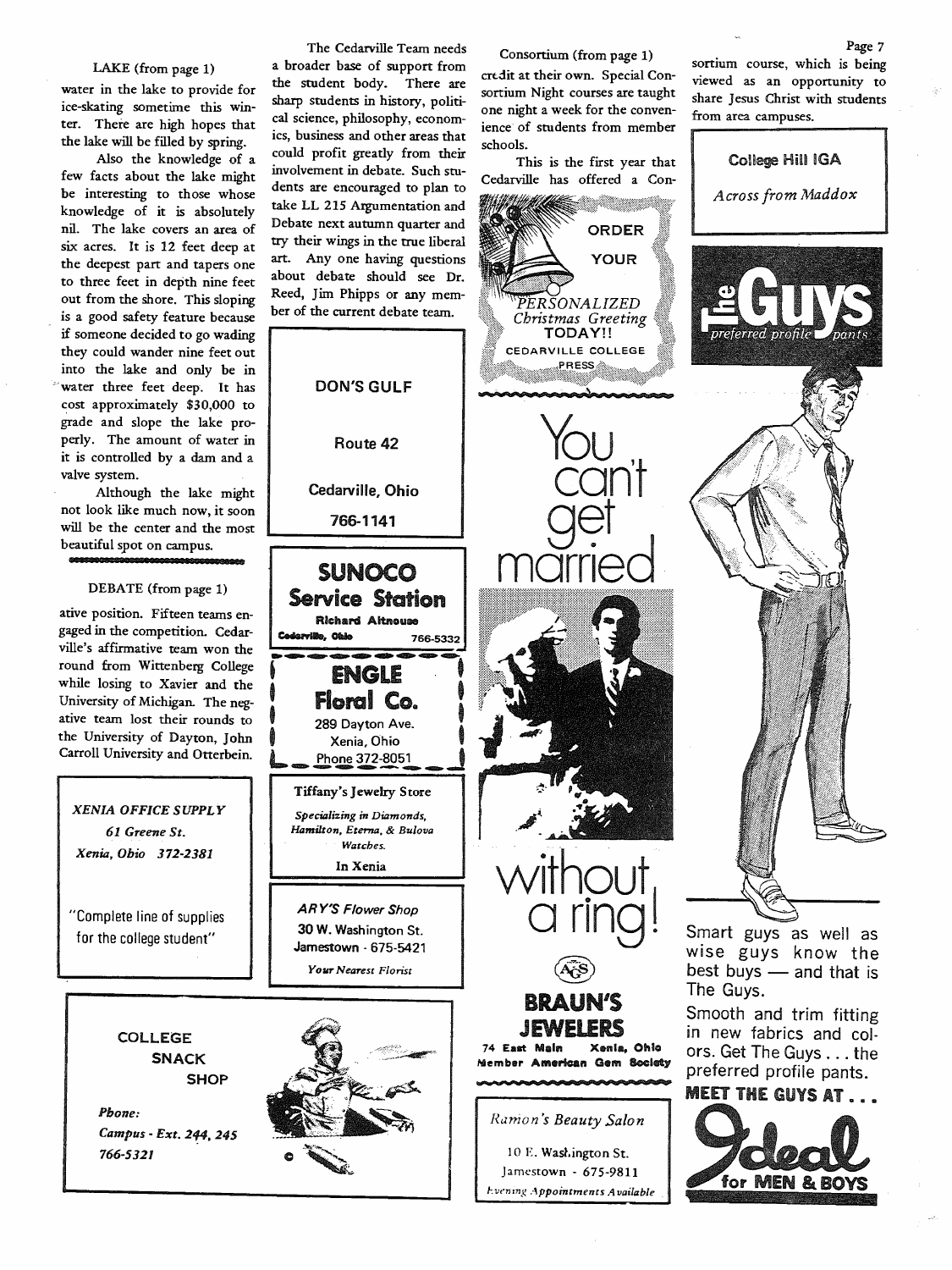#### LAKE (from page 1)

water in the lake to provide for ice-skating sometime this winter. There are high hopes that the lake will be filled by spring.

Also the knowledge of <sup>a</sup> few facts about the lake might be interesting to those whose knowledge of it is absolutely nil. The lake covers an area of six acres. It is 12 feet deep at the deepest part and tapers one to three feet in depth nine feet out from the shore. This sloping is a good safety feature because if someone decided to go wading they could wander nine feet out into the lake and only be in water three feet deep. It has cost approximately \$30,000 to grade and slope the lake properly. The amount of water in it is controlled by a dam and <sup>a</sup> valve system.

Although the lake might not look like much now, it soon will be the center and the most beautiful spot on campus.

#### DEBATE (from page 1)

ative position. Fifteen teams engaged in the competition. Cedarville's affirmative team won the round from Wittenberg College while losing to Xavier and the University of Michigan. The negative team lost their rounds to the University of Dayton, John Carroll University and Otterbein.

*XENIA OFFICE SUPPLY 61 Greene St. Xenia,* Ohio 372-2381

"Complete line of supplies for the college student"



The Cedarville Team needs a broader base of support from the student body. There are sharp students in history, political science, philosophy, economics, business and other areas that could profit greatly from their involvement in debate. Such students are encouraged to plan to take LL 215 Argumentation and Debate next autumn quarter and try their wings in the true liberal art. Any one having questions about debate should see Dr. Reed, Jim Phipps or any member of the current debate team.

Route 42

**DON'S GULF** 

Cedarville, Ohio

766-1141

SUNOCO Service Station Richard Altnouae

**ENGLE** 

rville, Ohie

**Floral Co.**<br>289 Dayton Ave.<br>Xenia, Ohio

Phone 372-8051

Tiffany's Jewelry Store *Specializing* in *Diamonds, Hamilton, Eterna,* & *Bulova Watches.* In Xenia

*AR Y'S Flower Shop*  30 W. Washington St. Jamestown - 675-5421 *Your Nearest Florist* 

766-5332

Consortium (from page 1)

crdit at their own. Special Consortium Night courses are taught one night a week for the convenience of students from member schools.

This is the first year that Cedarville has offered a Con-

> PERSONALIZED Christmas Greeting TODAY!! CEDARVILLE COLLEGE PRESS

**ORDER YOUR** 

rou<br>can't

get<br>married

without

AGS)

BRAUN'S

JEWELE 74 East Main Xenia, Ohio Member American Gem Bocld)'

*Runion 's Beauty Salon* 

IO E. Wast.ington St. Jamestown - 675-9811 *l:vt•ning Appointments Available* 

Ill n

sortium course, which is being viewed as an opportunity to share Jesus Christ with students from area campuses. College Hill IGA *Across from Maddox* 



wise guys know the best buys - and that is The Guys.

Smooth and trim fitting in new fabrics and colors. Get The Guys ... the preferred profile pants.



#### Page 7